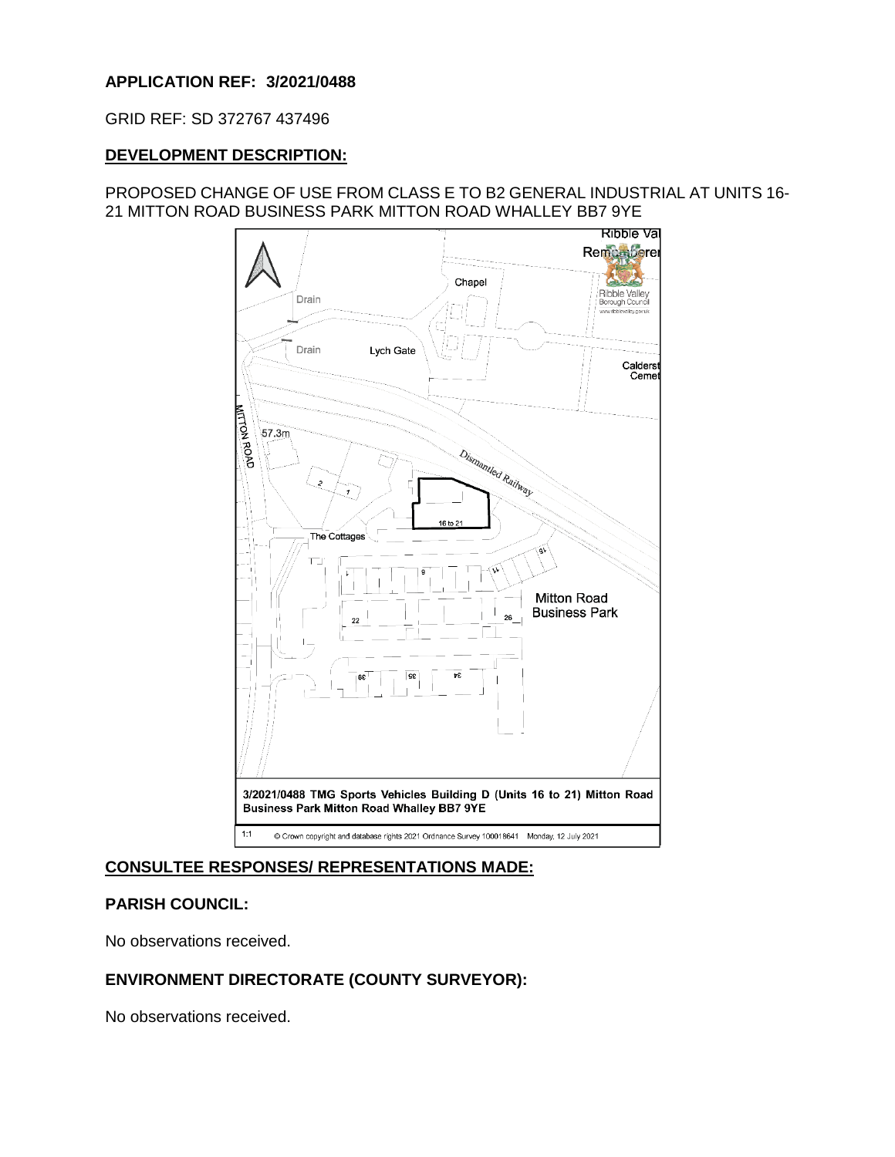# **APPLICATION REF: 3/2021/0488**

GRID REF: SD 372767 437496

### **DEVELOPMENT DESCRIPTION:**

# PROPOSED CHANGE OF USE FROM CLASS E TO B2 GENERAL INDUSTRIAL AT UNITS 16- 21 MITTON ROAD BUSINESS PARK MITTON ROAD WHALLEY BB7 9YE



# **CONSULTEE RESPONSES/ REPRESENTATIONS MADE:**

# **PARISH COUNCIL:**

No observations received.

# **ENVIRONMENT DIRECTORATE (COUNTY SURVEYOR):**

No observations received.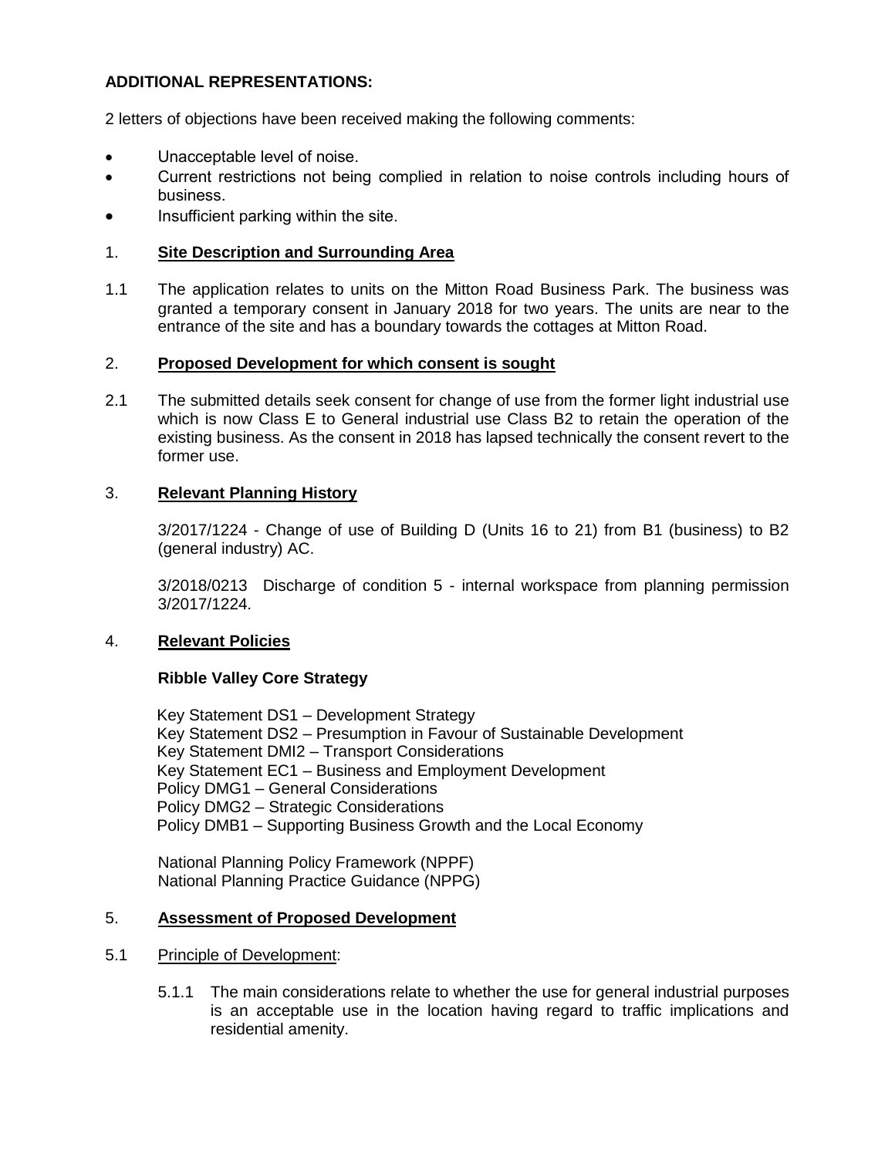# **ADDITIONAL REPRESENTATIONS:**

2 letters of objections have been received making the following comments:

- Unacceptable level of noise.
- Current restrictions not being complied in relation to noise controls including hours of business.
- Insufficient parking within the site.

### 1. **Site Description and Surrounding Area**

1.1 The application relates to units on the Mitton Road Business Park. The business was granted a temporary consent in January 2018 for two years. The units are near to the entrance of the site and has a boundary towards the cottages at Mitton Road.

#### 2. **Proposed Development for which consent is sought**

2.1 The submitted details seek consent for change of use from the former light industrial use which is now Class E to General industrial use Class B2 to retain the operation of the existing business. As the consent in 2018 has lapsed technically the consent revert to the former use.

#### 3. **Relevant Planning History**

3/2017/1224 - Change of use of Building D (Units 16 to 21) from B1 (business) to B2 (general industry) AC.

3/2018/0213 Discharge of condition 5 - internal workspace from planning permission 3/2017/1224.

#### 4. **Relevant Policies**

#### **Ribble Valley Core Strategy**

Key Statement DS1 – Development Strategy Key Statement DS2 – Presumption in Favour of Sustainable Development Key Statement DMI2 – Transport Considerations Key Statement EC1 – Business and Employment Development Policy DMG1 – General Considerations Policy DMG2 – Strategic Considerations Policy DMB1 – Supporting Business Growth and the Local Economy

National Planning Policy Framework (NPPF) National Planning Practice Guidance (NPPG)

#### 5. **Assessment of Proposed Development**

#### 5.1 Principle of Development:

5.1.1 The main considerations relate to whether the use for general industrial purposes is an acceptable use in the location having regard to traffic implications and residential amenity.